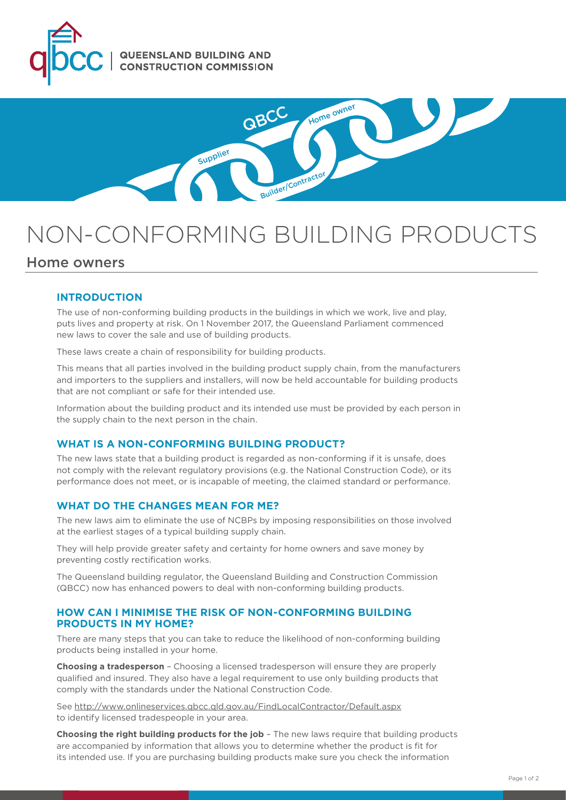



# NON-CONFORMING BUILDING PRODUCTS

# Home owners

## **INTRODUCTION**

The use of non-conforming building products in the buildings in which we work, live and play, puts lives and property at risk. On 1 November 2017, the Queensland Parliament commenced new laws to cover the sale and use of building products.

These laws create a chain of responsibility for building products.

This means that all parties involved in the building product supply chain, from the manufacturers and importers to the suppliers and installers, will now be held accountable for building products that are not compliant or safe for their intended use.

Information about the building product and its intended use must be provided by each person in the supply chain to the next person in the chain.

## **WHAT IS A NON-CONFORMING BUILDING PRODUCT?**

The new laws state that a building product is regarded as non-conforming if it is unsafe, does not comply with the relevant regulatory provisions (e.g. the National Construction Code), or its performance does not meet, or is incapable of meeting, the claimed standard or performance.

#### **WHAT DO THE CHANGES MEAN FOR ME?**

The new laws aim to eliminate the use of NCBPs by imposing responsibilities on those involved at the earliest stages of a typical building supply chain.

They will help provide greater safety and certainty for home owners and save money by preventing costly rectification works.

The Queensland building regulator, the Queensland Building and Construction Commission (QBCC) now has enhanced powers to deal with non-conforming building products.

#### **HOW CAN I MINIMISE THE RISK OF NON-CONFORMING BUILDING PRODUCTS IN MY HOME?**

There are many steps that you can take to reduce the likelihood of non-conforming building products being installed in your home.

**Choosing a tradesperson** – Choosing a licensed tradesperson will ensure they are properly qualified and insured. They also have a legal requirement to use only building products that comply with the standards under the National Construction Code.

See<http://www.onlineservices.qbcc.qld.gov.au/FindLocalContractor/Default.aspx> to identify licensed tradespeople in your area.

**Choosing the right building products for the job** – The new laws require that building products are accompanied by information that allows you to determine whether the product is fit for its intended use. If you are purchasing building products make sure you check the information